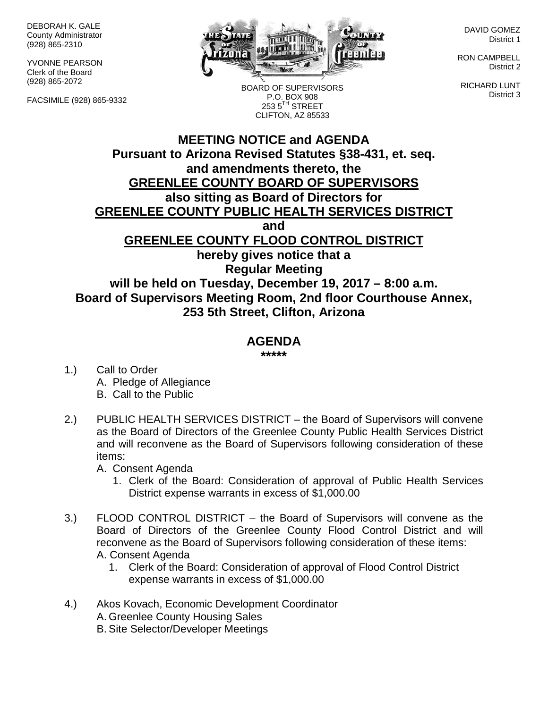DEBORAH K. GALE County Administrator (928) 865-2310

YVONNE PEARSON Clerk of the Board (928) 865-2072

FACSIMILE (928) 865-9332



BOARD OF SUPERVISORS

DAVID GOMEZ District 1

RON CAMPBELL District 2

RICHARD LUNT District 3

## **MEETING NOTICE and AGENDA Pursuant to Arizona Revised Statutes §38-431, et. seq.** P.O. BOX 908  $2535^{\text{TH}}$  STREET CLIFTON, AZ 85533

#### **and amendments thereto, the GREENLEE COUNTY BOARD OF SUPERVISORS**

## **also sitting as Board of Directors for**

**GREENLEE COUNTY PUBLIC HEALTH SERVICES DISTRICT**

**and**

#### **GREENLEE COUNTY FLOOD CONTROL DISTRICT**

**hereby gives notice that a Regular Meeting will be held on Tuesday, December 19, 2017 – 8:00 a.m. Board of Supervisors Meeting Room, 2nd floor Courthouse Annex, 253 5th Street, Clifton, Arizona**

# **AGENDA**

**\*\*\*\*\***

- 1.) Call to Order A. Pledge of Allegiance B. Call to the Public
- 2.) PUBLIC HEALTH SERVICES DISTRICT the Board of Supervisors will convene as the Board of Directors of the Greenlee County Public Health Services District and will reconvene as the Board of Supervisors following consideration of these items:

A. Consent Agenda

- 1. Clerk of the Board: Consideration of approval of Public Health Services District expense warrants in excess of \$1,000.00
- 3.) FLOOD CONTROL DISTRICT the Board of Supervisors will convene as the Board of Directors of the Greenlee County Flood Control District and will reconvene as the Board of Supervisors following consideration of these items: A. Consent Agenda
	- 1. Clerk of the Board: Consideration of approval of Flood Control District expense warrants in excess of \$1,000.00
- 4.) Akos Kovach, Economic Development Coordinator A. Greenlee County Housing Sales B. Site Selector/Developer Meetings